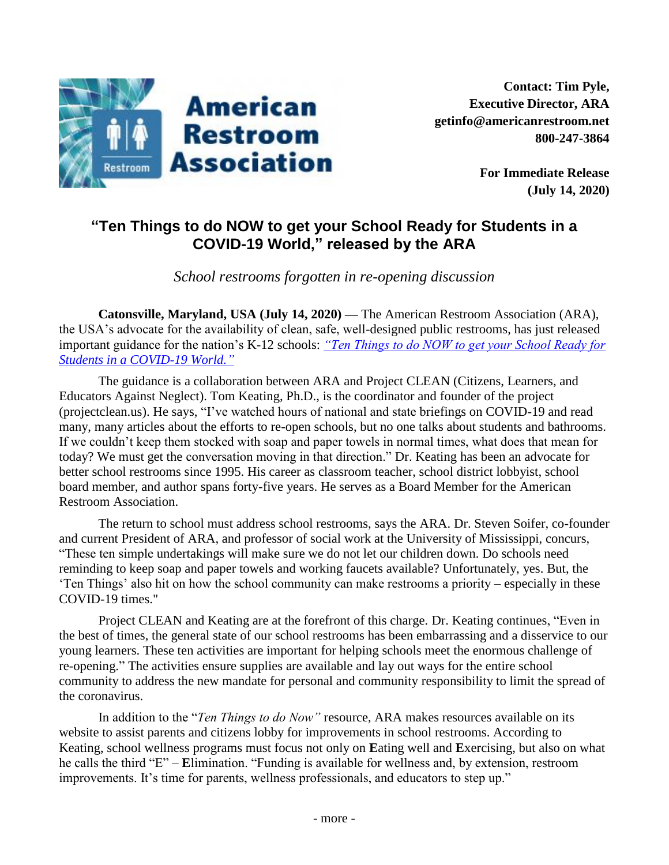

**For Immediate Release (July 14, 2020)**

## **"Ten Things to do NOW to get your School Ready for Students in a COVID-19 World," released by the ARA**

*School restrooms forgotten in re-opening discussion*

**Catonsville, Maryland, USA (July 14, 2020)** *—* The American Restroom Association (ARA), the USA's advocate for the availability of clean, safe, well-designed public restrooms, has just released important guidance for the nation's K-12 schools: *["Ten Things to do NOW to get your School Ready for](https://americanrestroom.org/content/uploads/2020/06/Ten-Things-for-Schools-re-COVID-19-ARA-Project-CLEAN-July-2020.pdf)  [Students in a COVID-19 World."](https://americanrestroom.org/content/uploads/2020/06/Ten-Things-for-Schools-re-COVID-19-ARA-Project-CLEAN-July-2020.pdf)*

The guidance is a collaboration between ARA and Project CLEAN (Citizens, Learners, and Educators Against Neglect). Tom Keating, Ph.D., is the coordinator and founder of the project (projectclean.us). He says, "I've watched hours of national and state briefings on COVID-19 and read many, many articles about the efforts to re-open schools, but no one talks about students and bathrooms. If we couldn't keep them stocked with soap and paper towels in normal times, what does that mean for today? We must get the conversation moving in that direction." Dr. Keating has been an advocate for better school restrooms since 1995. His career as classroom teacher, school district lobbyist, school board member, and author spans forty-five years. He serves as a Board Member for the American Restroom Association.

The return to school must address school restrooms, says the ARA. Dr. Steven Soifer, co-founder and current President of ARA, and professor of social work at the University of Mississippi, concurs, "These ten simple undertakings will make sure we do not let our children down. Do schools need reminding to keep soap and paper towels and working faucets available? Unfortunately, yes. But, the 'Ten Things' also hit on how the school community can make restrooms a priority – especially in these COVID-19 times."

Project CLEAN and Keating are at the forefront of this charge. Dr. Keating continues, "Even in the best of times, the general state of our school restrooms has been embarrassing and a disservice to our young learners. These ten activities are important for helping schools meet the enormous challenge of re-opening." The activities ensure supplies are available and lay out ways for the entire school community to address the new mandate for personal and community responsibility to limit the spread of the coronavirus.

In addition to the "*Ten Things to do Now"* resource, ARA makes resources available on its website to assist parents and citizens lobby for improvements in school restrooms. According to Keating, school wellness programs must focus not only on **E**ating well and **E**xercising, but also on what he calls the third "E" – **E**limination. "Funding is available for wellness and, by extension, restroom improvements. It's time for parents, wellness professionals, and educators to step up."